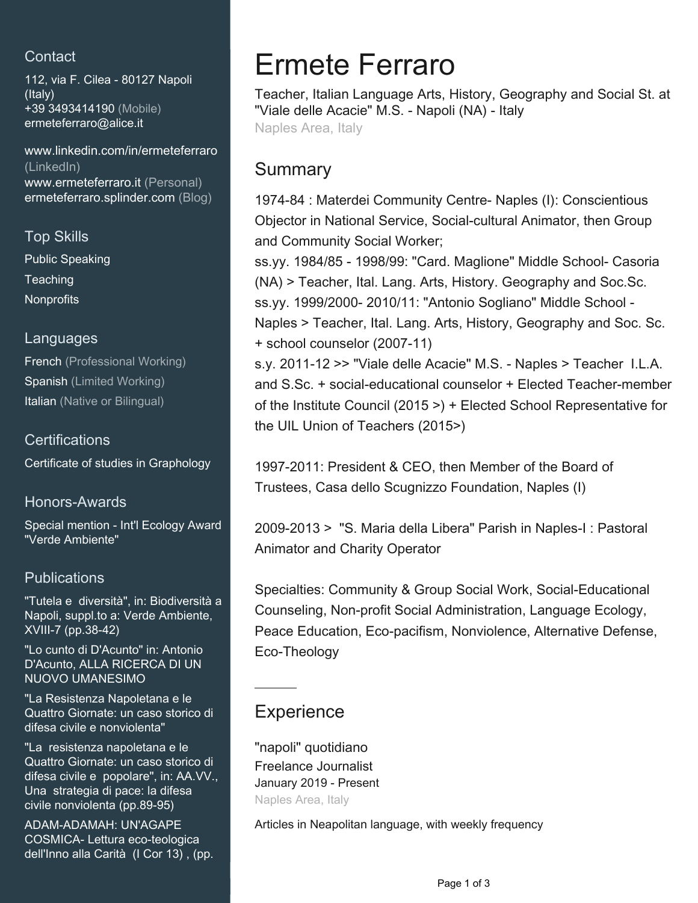# **Contact**

112, via F. Cilea - 80127 Napoli (Italy) +39 3493414190 (Mobile) [ermeteferraro@alice.it](mailto:ermeteferraro@alice.it)

[www.linkedin.com/in/ermeteferraro](https://www.linkedin.com/in/ermeteferraro?jobid=1234&lipi=urn%3Ali%3Apage%3Ad_jobs_easyapply_pdfgenresume%3BKSVr%2BQsKTM%2BT7DlqIw1QlA%3D%3D&licu=urn%3Ali%3Acontrol%3Ad_jobs_easyapply_pdfgenresume-v02_profile) [\(LinkedIn\)](https://www.linkedin.com/in/ermeteferraro?jobid=1234&lipi=urn%3Ali%3Apage%3Ad_jobs_easyapply_pdfgenresume%3BKSVr%2BQsKTM%2BT7DlqIw1QlA%3D%3D&licu=urn%3Ali%3Acontrol%3Ad_jobs_easyapply_pdfgenresume-v02_profile) [www.ermeteferraro.it \(Personal\)](http://www.ermeteferraro.it) [ermeteferraro.splinder.com \(Blog\)](http://ermeteferraro.splinder.com)

Top Skills Public Speaking **Teaching Nonprofits** 

#### Languages

French (Professional Working) Spanish (Limited Working) Italian (Native or Bilingual)

## **Certifications**

Certificate of studies in Graphology

## Honors-Awards

Special mention - Int'l Ecology Award "Verde Ambiente"

# **Publications**

"Tutela e diversità", in: Biodiversità a Napoli, suppl.to a: Verde Ambiente, XVIII-7 (pp.38-42)

"Lo cunto di D'Acunto" in: Antonio D'Acunto, ALLA RICERCA DI UN NUOVO UMANESIMO

"La Resistenza Napoletana e le Quattro Giornate: un caso storico di difesa civile e nonviolenta"

"La resistenza napoletana e le Quattro Giornate: un caso storico di difesa civile e popolare", in: AA.VV., Una strategia di pace: la difesa civile nonviolenta (pp.89-95)

ADAM-ADAMAH: UN'AGAPE COSMICA- Lettura eco-teologica dell'Inno alla Carità (I Cor 13) , (pp.

# Ermete Ferraro

Teacher, Italian Language Arts, History, Geography and Social St. at "Viale delle Acacie" M.S. - Napoli (NA) - Italy Naples Area, Italy

# Summary

1974-84 : Materdei Community Centre- Naples (I): Conscientious Objector in National Service, Social-cultural Animator, then Group and Community Social Worker;

ss.yy. 1984/85 - 1998/99: "Card. Maglione" Middle School- Casoria (NA) > Teacher, Ital. Lang. Arts, History. Geography and Soc.Sc. ss.yy. 1999/2000- 2010/11: "Antonio Sogliano" Middle School - Naples > Teacher, Ital. Lang. Arts, History, Geography and Soc. Sc. + school counselor (2007-11)

s.y. 2011-12 >> "Viale delle Acacie" M.S. - Naples > Teacher I.L.A. and S.Sc. + social-educational counselor + Elected Teacher-member of the Institute Council (2015 >) + Elected School Representative for the UIL Union of Teachers (2015>)

1997-2011: President & CEO, then Member of the Board of Trustees, Casa dello Scugnizzo Foundation, Naples (I)

2009-2013 > "S. Maria della Libera" Parish in Naples-I : Pastoral Animator and Charity Operator

Specialties: Community & Group Social Work, Social-Educational Counseling, Non-profit Social Administration, Language Ecology, Peace Education, Eco-pacifism, Nonviolence, Alternative Defense, Eco-Theology

# **Experience**

"napoli" quotidiano Freelance Journalist January 2019 - Present Naples Area, Italy

Articles in Neapolitan language, with weekly frequency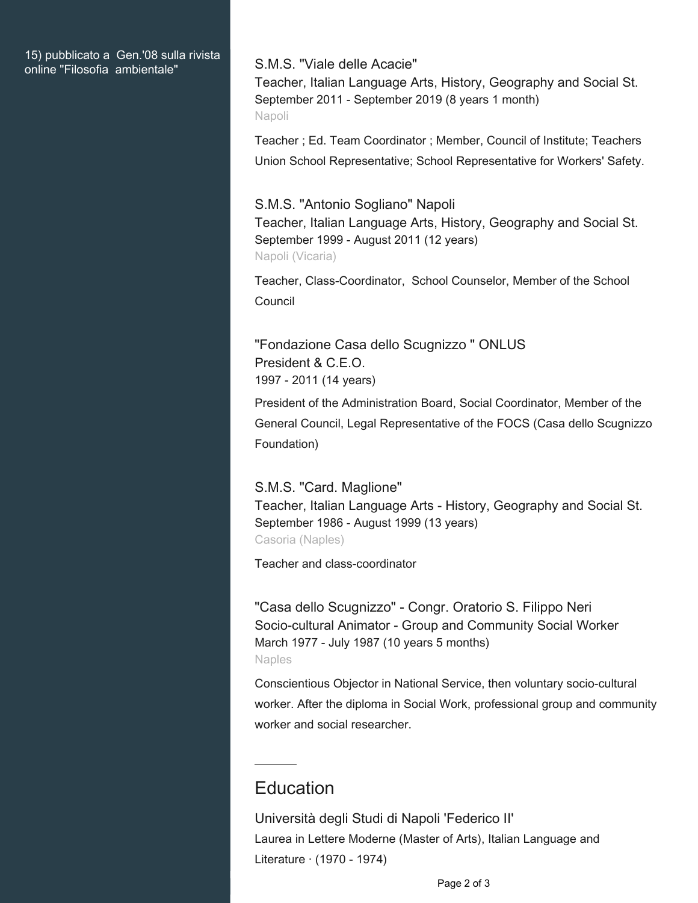#### 15) pubblicato a Gen.'08 sulla rivista online "Filosofia ambientale" S.M.S. "Viale delle Acacie"

Teacher, Italian Language Arts, History, Geography and Social St. September 2011 - September 2019 (8 years 1 month) Napoli

Teacher ; Ed. Team Coordinator ; Member, Council of Institute; Teachers Union School Representative; School Representative for Workers' Safety.

#### S.M.S. "Antonio Sogliano" Napoli

Teacher, Italian Language Arts, History, Geography and Social St. September 1999 - August 2011 (12 years) Napoli (Vicaria)

Teacher, Class-Coordinator, School Counselor, Member of the School Council

"Fondazione Casa dello Scugnizzo " ONLUS President & C.E.O. 1997 - 2011 (14 years)

President of the Administration Board, Social Coordinator, Member of the General Council, Legal Representative of the FOCS (Casa dello Scugnizzo Foundation)

S.M.S. "Card. Maglione" Teacher, Italian Language Arts - History, Geography and Social St. September 1986 - August 1999 (13 years) Casoria (Naples)

Teacher and class-coordinator

"Casa dello Scugnizzo" - Congr. Oratorio S. Filippo Neri Socio-cultural Animator - Group and Community Social Worker March 1977 - July 1987 (10 years 5 months) Naples

Conscientious Objector in National Service, then voluntary socio-cultural worker. After the diploma in Social Work, professional group and community worker and social researcher.

# **Education**

Università degli Studi di Napoli 'Federico II' Laurea in Lettere Moderne (Master of Arts), Italian Language and Literature · (1970 - 1974)